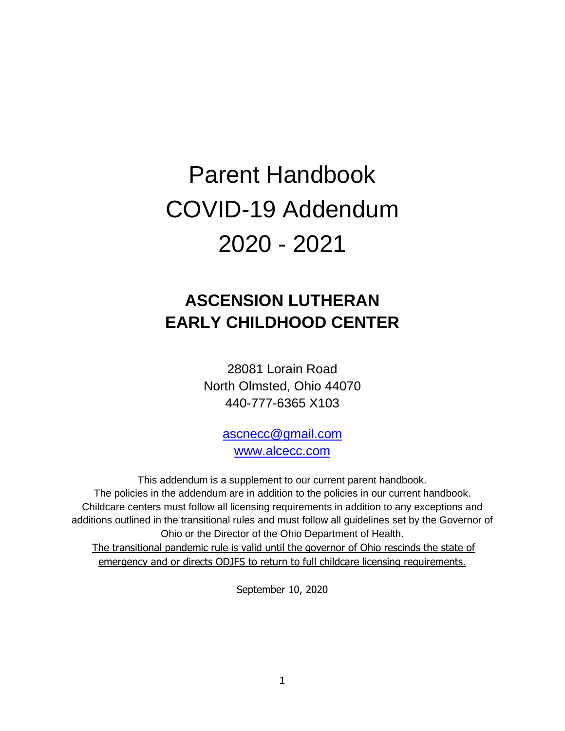# Parent Handbook COVID-19 Addendum 2020 - 2021

# **ASCENSION LUTHERAN EARLY CHILDHOOD CENTER**

28081 Lorain Road North Olmsted, Ohio 44070 440-777-6365 X103

> [ascnecc@gmail.com](mailto:ascnecc@gmail.com) [www.alcecc.com](http://www.alcecc.com/)

This addendum is a supplement to our current parent handbook. The policies in the addendum are in addition to the policies in our current handbook. Childcare centers must follow all licensing requirements in addition to any exceptions and additions outlined in the transitional rules and must follow all guidelines set by the Governor of Ohio or the Director of the Ohio Department of Health. The transitional pandemic rule is valid until the governor of Ohio rescinds the state of

emergency and or directs ODJFS to return to full childcare licensing requirements.

September 10, 2020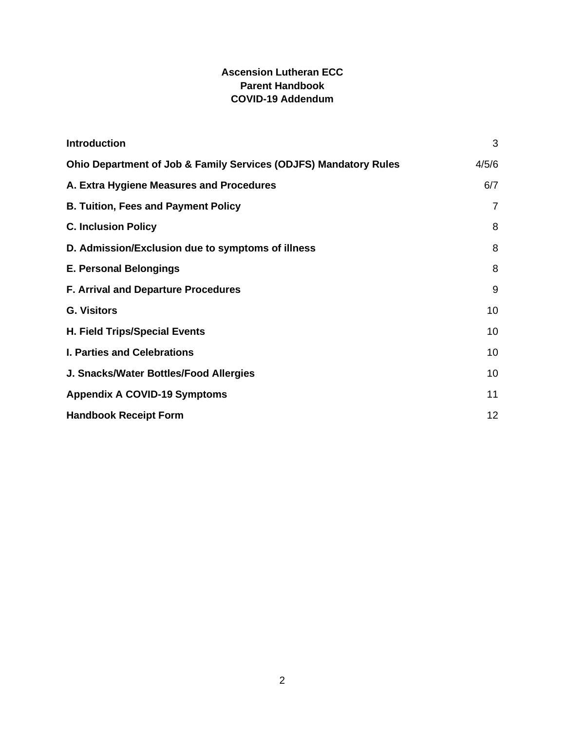### **Ascension Lutheran ECC Parent Handbook COVID-19 Addendum**

| <b>Introduction</b>                                              | 3              |
|------------------------------------------------------------------|----------------|
| Ohio Department of Job & Family Services (ODJFS) Mandatory Rules | 4/5/6          |
| A. Extra Hygiene Measures and Procedures                         | 6/7            |
| <b>B. Tuition, Fees and Payment Policy</b>                       | $\overline{7}$ |
| <b>C. Inclusion Policy</b>                                       | 8              |
| D. Admission/Exclusion due to symptoms of illness                | 8              |
| <b>E. Personal Belongings</b>                                    | 8              |
| <b>F. Arrival and Departure Procedures</b>                       | 9              |
| <b>G. Visitors</b>                                               | 10             |
| <b>H. Field Trips/Special Events</b>                             | 10             |
| <b>I. Parties and Celebrations</b>                               | 10             |
| J. Snacks/Water Bottles/Food Allergies                           | 10             |
| <b>Appendix A COVID-19 Symptoms</b>                              | 11             |
| <b>Handbook Receipt Form</b>                                     | 12             |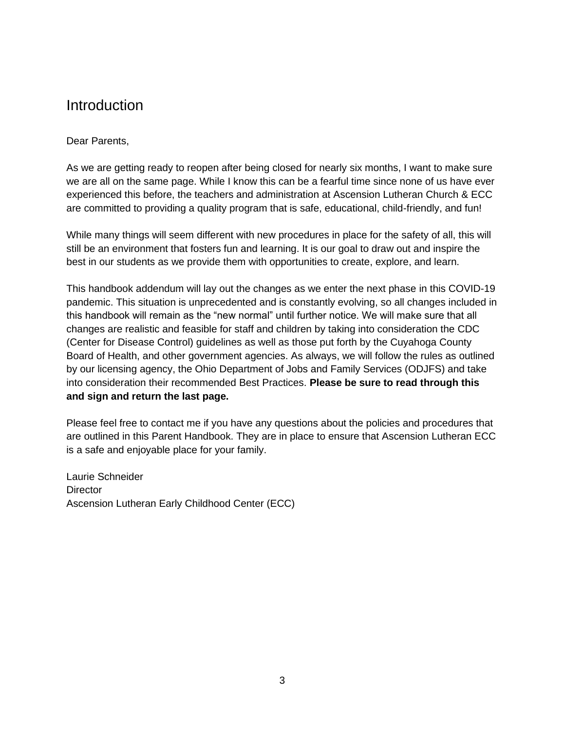### <span id="page-2-0"></span>Introduction

#### Dear Parents,

As we are getting ready to reopen after being closed for nearly six months, I want to make sure we are all on the same page. While I know this can be a fearful time since none of us have ever experienced this before, the teachers and administration at Ascension Lutheran Church & ECC are committed to providing a quality program that is safe, educational, child-friendly, and fun!

While many things will seem different with new procedures in place for the safety of all, this will still be an environment that fosters fun and learning. It is our goal to draw out and inspire the best in our students as we provide them with opportunities to create, explore, and learn.

This handbook addendum will lay out the changes as we enter the next phase in this COVID-19 pandemic. This situation is unprecedented and is constantly evolving, so all changes included in this handbook will remain as the "new normal" until further notice. We will make sure that all changes are realistic and feasible for staff and children by taking into consideration the CDC (Center for Disease Control) guidelines as well as those put forth by the Cuyahoga County Board of Health, and other government agencies. As always, we will follow the rules as outlined by our licensing agency, the Ohio Department of Jobs and Family Services (ODJFS) and take into consideration their recommended Best Practices. **Please be sure to read through this and sign and return the last page.**

Please feel free to contact me if you have any questions about the policies and procedures that are outlined in this Parent Handbook. They are in place to ensure that Ascension Lutheran ECC is a safe and enjoyable place for your family.

Laurie Schneider **Director** Ascension Lutheran Early Childhood Center (ECC)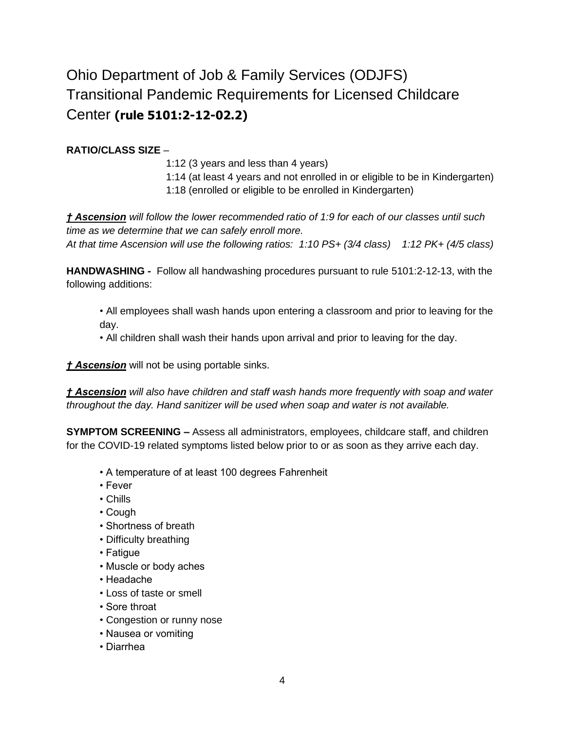# Ohio Department of Job & Family Services (ODJFS) Transitional Pandemic Requirements for Licensed Childcare Center **(rule 5101:2-12-02.2)**

### **RATIO/CLASS SIZE** –

1:12 (3 years and less than 4 years) 1:14 (at least 4 years and not enrolled in or eligible to be in Kindergarten) 1:18 (enrolled or eligible to be enrolled in Kindergarten)

*† Ascension will follow the lower recommended ratio of 1:9 for each of our classes until such time as we determine that we can safely enroll more.* 

*At that time Ascension will use the following ratios: 1:10 PS+ (3/4 class) 1:12 PK+ (4/5 class)*

**HANDWASHING -** Follow all handwashing procedures pursuant to rule 5101:2-12-13, with the following additions:

• All employees shall wash hands upon entering a classroom and prior to leaving for the day.

• All children shall wash their hands upon arrival and prior to leaving for the day.

*† Ascension* will not be using portable sinks.

*† Ascension will also have children and staff wash hands more frequently with soap and water throughout the day. Hand sanitizer will be used when soap and water is not available.* 

**SYMPTOM SCREENING –** Assess all administrators, employees, childcare staff, and children for the COVID-19 related symptoms listed below prior to or as soon as they arrive each day.

- A temperature of at least 100 degrees Fahrenheit
- Fever
- Chills
- Cough
- Shortness of breath
- Difficulty breathing
- Fatigue
- Muscle or body aches
- Headache
- Loss of taste or smell
- Sore throat
- Congestion or runny nose
- Nausea or vomiting
- Diarrhea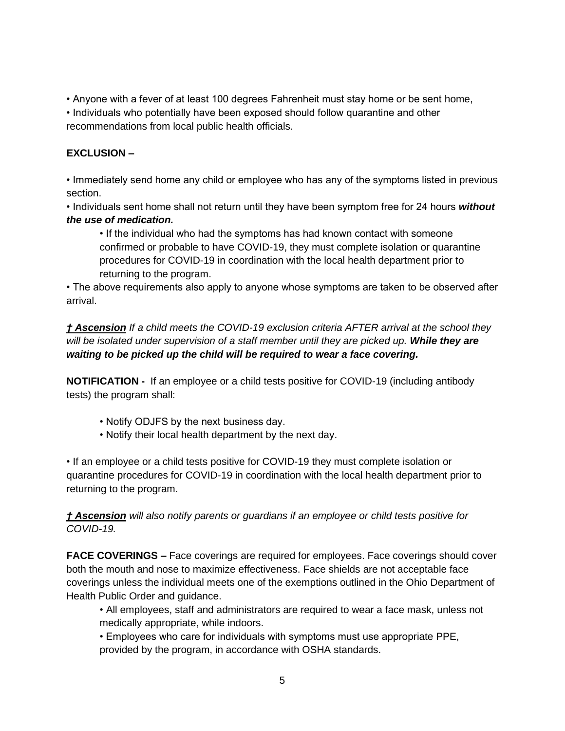• Anyone with a fever of at least 100 degrees Fahrenheit must stay home or be sent home,

• Individuals who potentially have been exposed should follow quarantine and other recommendations from local public health officials.

### **EXCLUSION –**

• Immediately send home any child or employee who has any of the symptoms listed in previous section.

• Individuals sent home shall not return until they have been symptom free for 24 hours *without the use of medication.*

• If the individual who had the symptoms has had known contact with someone confirmed or probable to have COVID-19, they must complete isolation or quarantine procedures for COVID-19 in coordination with the local health department prior to returning to the program.

• The above requirements also apply to anyone whose symptoms are taken to be observed after arrival.

*† Ascension If a child meets the COVID-19 exclusion criteria AFTER arrival at the school they will be isolated under supervision of a staff member until they are picked up. While they are waiting to be picked up the child will be required to wear a face covering.*

**NOTIFICATION -** If an employee or a child tests positive for COVID-19 (including antibody tests) the program shall:

- Notify ODJFS by the next business day.
- Notify their local health department by the next day.

• If an employee or a child tests positive for COVID-19 they must complete isolation or quarantine procedures for COVID-19 in coordination with the local health department prior to returning to the program.

*† Ascension will also notify parents or guardians if an employee or child tests positive for COVID-19.* 

**FACE COVERINGS –** Face coverings are required for employees. Face coverings should cover both the mouth and nose to maximize effectiveness. Face shields are not acceptable face coverings unless the individual meets one of the exemptions outlined in the Ohio Department of Health Public Order and guidance.

• All employees, staff and administrators are required to wear a face mask, unless not medically appropriate, while indoors.

• Employees who care for individuals with symptoms must use appropriate PPE, provided by the program, in accordance with OSHA standards.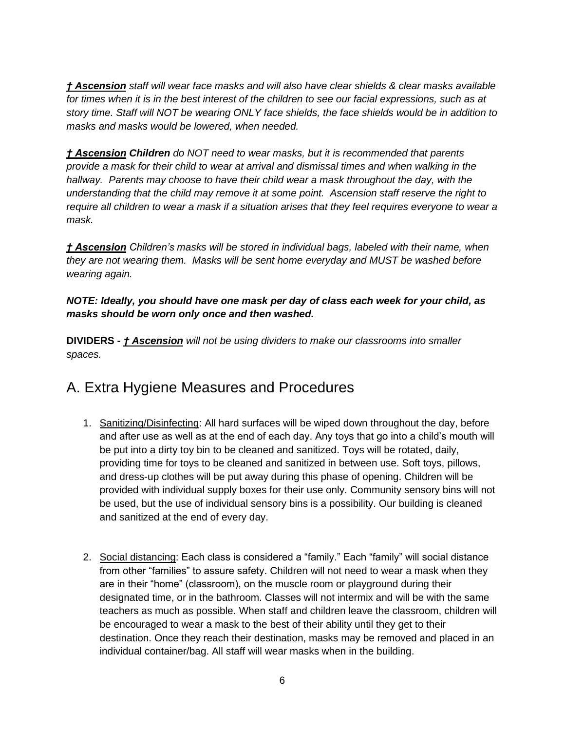*† Ascension staff will wear face masks and will also have clear shields & clear masks available for times when it is in the best interest of the children to see our facial expressions, such as at story time. Staff will NOT be wearing ONLY face shields, the face shields would be in addition to masks and masks would be lowered, when needed.* 

*† Ascension Children do NOT need to wear masks, but it is recommended that parents provide a mask for their child to wear at arrival and dismissal times and when walking in the hallway. Parents may choose to have their child wear a mask throughout the day, with the understanding that the child may remove it at some point. Ascension staff reserve the right to require all children to wear a mask if a situation arises that they feel requires everyone to wear a mask.*

*† Ascension Children's masks will be stored in individual bags, labeled with their name, when they are not wearing them. Masks will be sent home everyday and MUST be washed before wearing again.* 

*NOTE: Ideally, you should have one mask per day of class each week for your child, as masks should be worn only once and then washed.* 

**DIVIDERS -** *† Ascension will not be using dividers to make our classrooms into smaller spaces.*

# A. Extra Hygiene Measures and Procedures

- 1. Sanitizing/Disinfecting: All hard surfaces will be wiped down throughout the day, before and after use as well as at the end of each day. Any toys that go into a child's mouth will be put into a dirty toy bin to be cleaned and sanitized. Toys will be rotated, daily, providing time for toys to be cleaned and sanitized in between use. Soft toys, pillows, and dress-up clothes will be put away during this phase of opening. Children will be provided with individual supply boxes for their use only. Community sensory bins will not be used, but the use of individual sensory bins is a possibility. Our building is cleaned and sanitized at the end of every day.
- 2. Social distancing: Each class is considered a "family." Each "family" will social distance from other "families" to assure safety. Children will not need to wear a mask when they are in their "home" (classroom), on the muscle room or playground during their designated time, or in the bathroom. Classes will not intermix and will be with the same teachers as much as possible. When staff and children leave the classroom, children will be encouraged to wear a mask to the best of their ability until they get to their destination. Once they reach their destination, masks may be removed and placed in an individual container/bag. All staff will wear masks when in the building.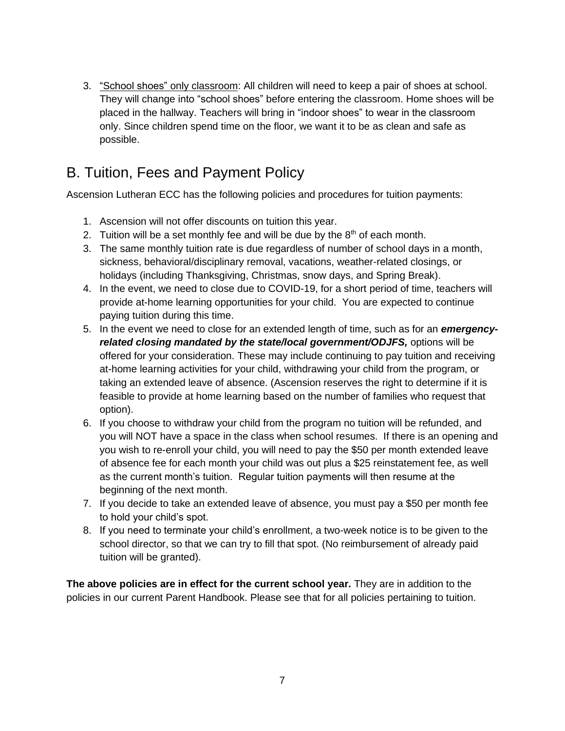3. "School shoes" only classroom: All children will need to keep a pair of shoes at school. They will change into "school shoes" before entering the classroom. Home shoes will be placed in the hallway. Teachers will bring in "indoor shoes" to wear in the classroom only. Since children spend time on the floor, we want it to be as clean and safe as possible.

# <span id="page-6-0"></span>B. Tuition, Fees and Payment Policy

Ascension Lutheran ECC has the following policies and procedures for tuition payments:

- 1. Ascension will not offer discounts on tuition this year.
- 2. Tuition will be a set monthly fee and will be due by the  $8<sup>th</sup>$  of each month.
- 3. The same monthly tuition rate is due regardless of number of school days in a month, sickness, behavioral/disciplinary removal, vacations, weather-related closings, or holidays (including Thanksgiving, Christmas, snow days, and Spring Break).
- 4. In the event, we need to close due to COVID-19, for a short period of time, teachers will provide at-home learning opportunities for your child. You are expected to continue paying tuition during this time.
- 5. In the event we need to close for an extended length of time, such as for an *emergencyrelated closing mandated by the state/local government/ODJFS,* options will be offered for your consideration. These may include continuing to pay tuition and receiving at-home learning activities for your child, withdrawing your child from the program, or taking an extended leave of absence. (Ascension reserves the right to determine if it is feasible to provide at home learning based on the number of families who request that option).
- 6. If you choose to withdraw your child from the program no tuition will be refunded, and you will NOT have a space in the class when school resumes. If there is an opening and you wish to re-enroll your child, you will need to pay the \$50 per month extended leave of absence fee for each month your child was out plus a \$25 reinstatement fee, as well as the current month's tuition. Regular tuition payments will then resume at the beginning of the next month.
- 7. If you decide to take an extended leave of absence, you must pay a \$50 per month fee to hold your child's spot.
- 8. If you need to terminate your child's enrollment, a two-week notice is to be given to the school director, so that we can try to fill that spot. (No reimbursement of already paid tuition will be granted).

**The above policies are in effect for the current school year.** They are in addition to the policies in our current Parent Handbook. Please see that for all policies pertaining to tuition.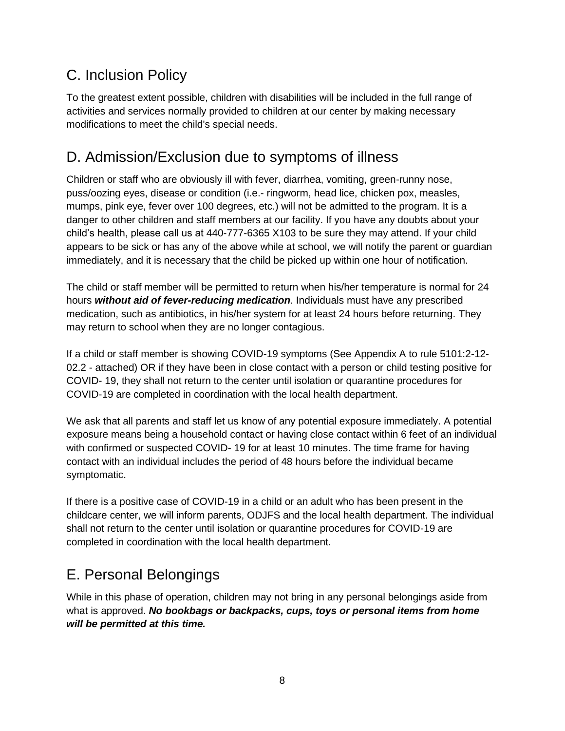# <span id="page-7-0"></span>C. Inclusion Policy

To the greatest extent possible, children with disabilities will be included in the full range of activities and services normally provided to children at our center by making necessary modifications to meet the child's special needs.

# D. Admission/Exclusion due to symptoms of illness

Children or staff who are obviously ill with fever, diarrhea, vomiting, green-runny nose, puss/oozing eyes, disease or condition (i.e.- ringworm, head lice, chicken pox, measles, mumps, pink eye, fever over 100 degrees, etc.) will not be admitted to the program. It is a danger to other children and staff members at our facility. If you have any doubts about your child's health, please call us at 440-777-6365 X103 to be sure they may attend. If your child appears to be sick or has any of the above while at school, we will notify the parent or guardian immediately, and it is necessary that the child be picked up within one hour of notification.

The child or staff member will be permitted to return when his/her temperature is normal for 24 hours *without aid of fever-reducing medication*. Individuals must have any prescribed medication, such as antibiotics, in his/her system for at least 24 hours before returning. They may return to school when they are no longer contagious.

If a child or staff member is showing COVID-19 symptoms (See Appendix A to rule 5101:2-12- 02.2 - attached) OR if they have been in close contact with a person or child testing positive for COVID- 19, they shall not return to the center until isolation or quarantine procedures for COVID-19 are completed in coordination with the local health department.

We ask that all parents and staff let us know of any potential exposure immediately. A potential exposure means being a household contact or having close contact within 6 feet of an individual with confirmed or suspected COVID- 19 for at least 10 minutes. The time frame for having contact with an individual includes the period of 48 hours before the individual became symptomatic.

If there is a positive case of COVID-19 in a child or an adult who has been present in the childcare center, we will inform parents, ODJFS and the local health department. The individual shall not return to the center until isolation or quarantine procedures for COVID-19 are completed in coordination with the local health department.

# <span id="page-7-1"></span>E. Personal Belongings

<span id="page-7-2"></span>While in this phase of operation, children may not bring in any personal belongings aside from what is approved. *No bookbags or backpacks, cups, toys or personal items from home will be permitted at this time.*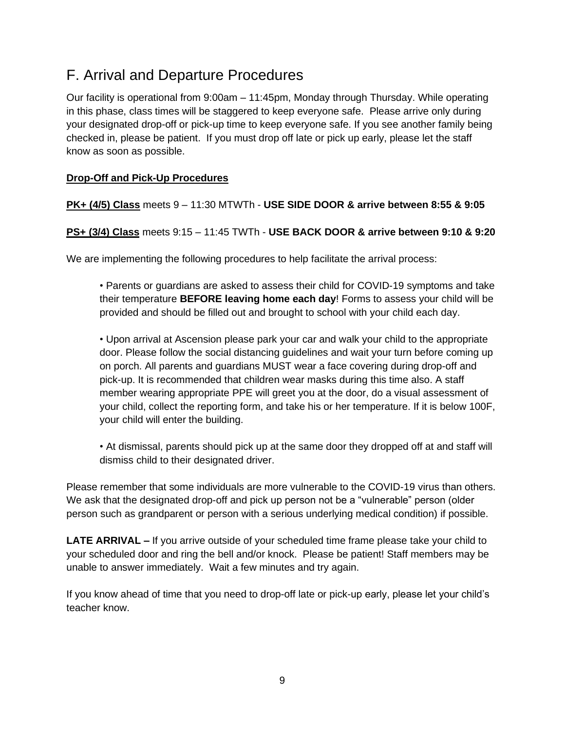# F. Arrival and Departure Procedures

Our facility is operational from 9:00am – 11:45pm, Monday through Thursday. While operating in this phase, class times will be staggered to keep everyone safe. Please arrive only during your designated drop-off or pick-up time to keep everyone safe. If you see another family being checked in, please be patient. If you must drop off late or pick up early, please let the staff know as soon as possible.

### **Drop-Off and Pick-Up Procedures**

### **PK+ (4/5) Class** meets 9 – 11:30 MTWTh - **USE SIDE DOOR & arrive between 8:55 & 9:05**

**PS+ (3/4) Class** meets 9:15 – 11:45 TWTh - **USE BACK DOOR & arrive between 9:10 & 9:20**

We are implementing the following procedures to help facilitate the arrival process:

• Parents or guardians are asked to assess their child for COVID-19 symptoms and take their temperature **BEFORE leaving home each day**! Forms to assess your child will be provided and should be filled out and brought to school with your child each day.

• Upon arrival at Ascension please park your car and walk your child to the appropriate door. Please follow the social distancing guidelines and wait your turn before coming up on porch. All parents and guardians MUST wear a face covering during drop-off and pick-up. It is recommended that children wear masks during this time also. A staff member wearing appropriate PPE will greet you at the door, do a visual assessment of your child, collect the reporting form, and take his or her temperature. If it is below 100F, your child will enter the building.

• At dismissal, parents should pick up at the same door they dropped off at and staff will dismiss child to their designated driver.

Please remember that some individuals are more vulnerable to the COVID-19 virus than others. We ask that the designated drop-off and pick up person not be a "vulnerable" person (older person such as grandparent or person with a serious underlying medical condition) if possible.

**LATE ARRIVAL –** If you arrive outside of your scheduled time frame please take your child to your scheduled door and ring the bell and/or knock. Please be patient! Staff members may be unable to answer immediately. Wait a few minutes and try again.

If you know ahead of time that you need to drop-off late or pick-up early, please let your child's teacher know.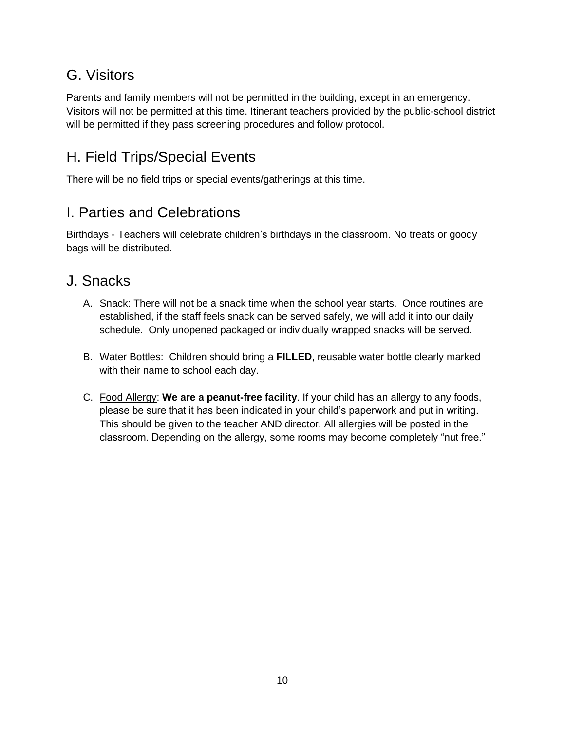# <span id="page-9-0"></span>G. Visitors

Parents and family members will not be permitted in the building, except in an emergency. Visitors will not be permitted at this time. Itinerant teachers provided by the public-school district will be permitted if they pass screening procedures and follow protocol.

# <span id="page-9-1"></span>H. Field Trips/Special Events

<span id="page-9-2"></span>There will be no field trips or special events/gatherings at this time.

### I. Parties and Celebrations

Birthdays - Teachers will celebrate children's birthdays in the classroom. No treats or goody bags will be distributed.

### <span id="page-9-3"></span>J. Snacks

- A. Snack: There will not be a snack time when the school year starts. Once routines are established, if the staff feels snack can be served safely, we will add it into our daily schedule. Only unopened packaged or individually wrapped snacks will be served.
- B. Water Bottles: Children should bring a **FILLED**, reusable water bottle clearly marked with their name to school each day.
- C. Food Allergy: **We are a peanut-free facility**. If your child has an allergy to any foods, please be sure that it has been indicated in your child's paperwork and put in writing. This should be given to the teacher AND director. All allergies will be posted in the classroom. Depending on the allergy, some rooms may become completely "nut free."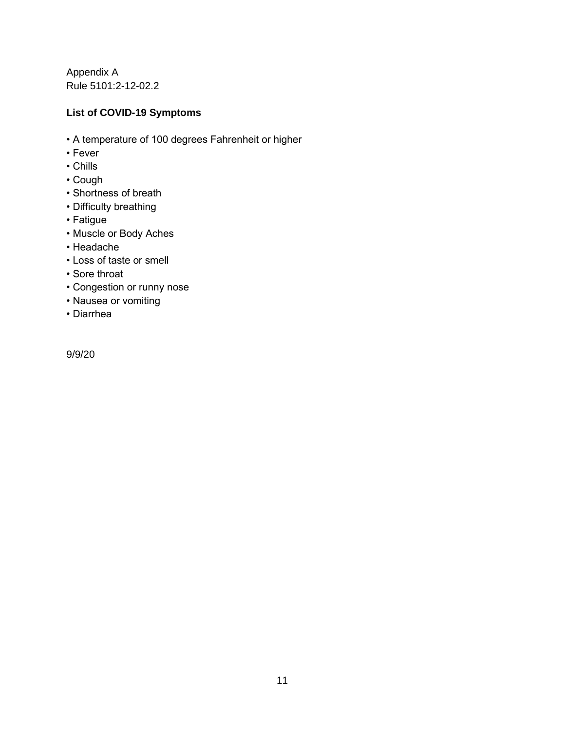Appendix A Rule 5101:2-12-02.2

#### **List of COVID-19 Symptoms**

- A temperature of 100 degrees Fahrenheit or higher
- Fever
- Chills
- Cough
- Shortness of breath
- Difficulty breathing
- Fatigue
- Muscle or Body Aches
- Headache
- Loss of taste or smell
- Sore throat
- Congestion or runny nose
- Nausea or vomiting
- Diarrhea

9/9/20